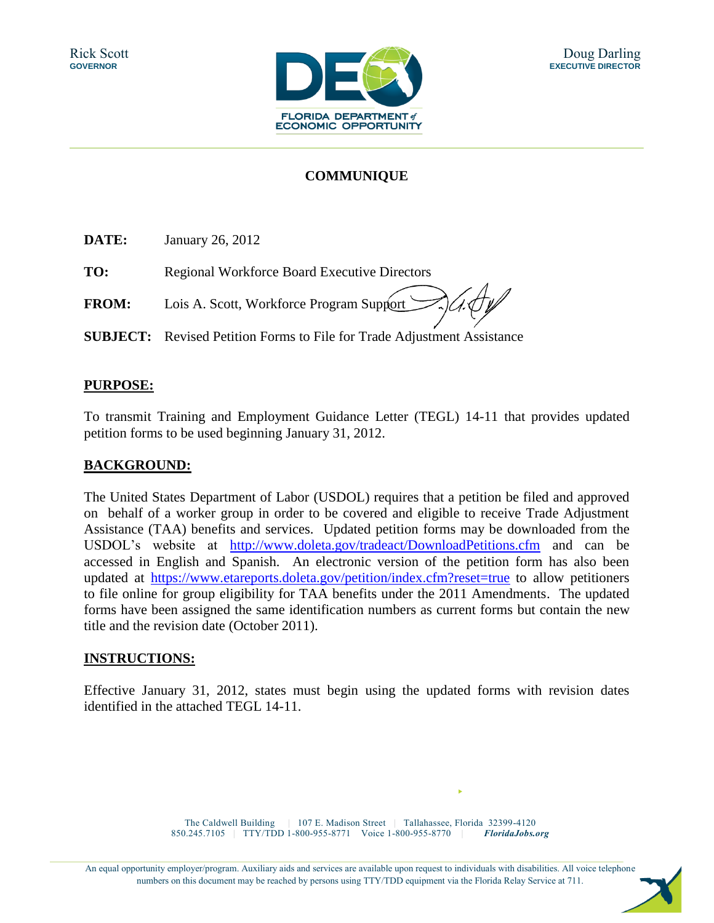

## **COMMUNIQUE**

**DATE:** January 26, 2012

**TO:** Regional Workforce Board Executive Directors

**FROM:** Lois A. Scott, Workforce Program Support

**SUBJECT:** Revised Petition Forms to File for Trade Adjustment Assistance

#### **PURPOSE:**

To transmit Training and Employment Guidance Letter (TEGL) 14-11 that provides updated petition forms to be used beginning January 31, 2012.

#### **BACKGROUND:**

The United States Department of Labor (USDOL) requires that a petition be filed and approved on behalf of a worker group in order to be covered and eligible to receive Trade Adjustment Assistance (TAA) benefits and services. Updated petition forms may be downloaded from the USDOL's website at <http://www.doleta.gov/tradeact/DownloadPetitions.cfm> and can be accessed in English and Spanish. An electronic version of the petition form has also been updated at <https://www.etareports.doleta.gov/petition/index.cfm?reset=true> to allow petitioners to file online for group eligibility for TAA benefits under the 2011 Amendments. The updated forms have been assigned the same identification numbers as current forms but contain the new title and the revision date (October 2011).

#### **INSTRUCTIONS:**

Effective January 31, 2012, states must begin using the updated forms with revision dates identified in the attached TEGL 14-11.

> The Caldwell Building | 107 E. Madison Street | Tallahassee, Florida 32399-4120 850.245.7105 | TTY/TDD 1-800-955-8771 Voice 1-800-955-8770 | *FloridaJobs.org*

An equal opportunity employer/program. Auxiliary aids and services are available upon request to individuals with disabilities. All voice telephone numbers on this document may be reached by persons using TTY/TDD equipment via the Florida Relay Service at 711.